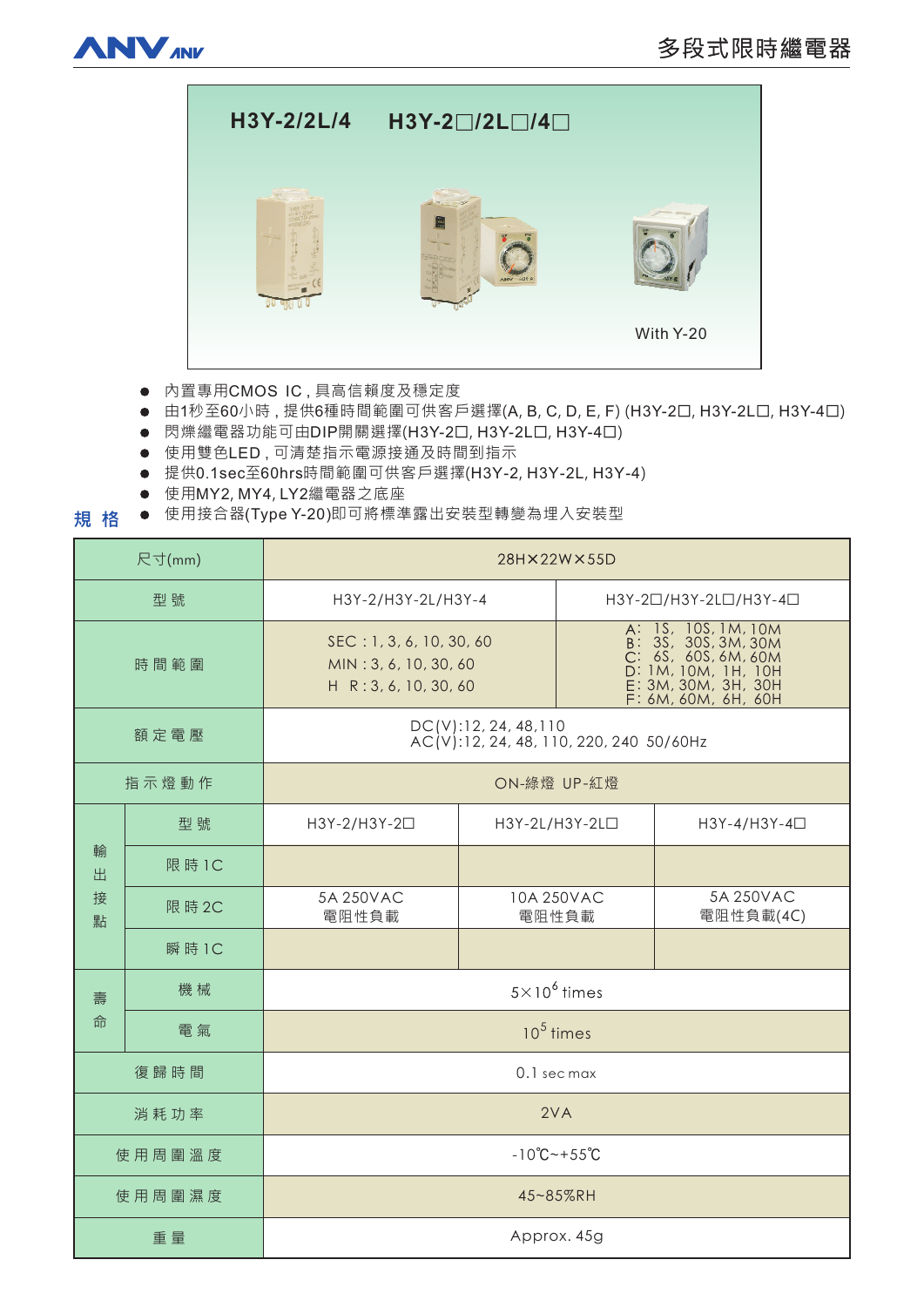



● 内置專用CMOS IC,具高信賴度及穩定度

● 由1秒至60小時,提供6種時間範圍可供客戶選擇(A, B, C, D, E, F) (H3Y-2口, H3Y-2L口, H3Y-4口)

- 閃爍繼電器功能可由DIP開關選擇(H3Y-2口, H3Y-2L口, H3Y-4口)
- 使用雙色LED,可清楚指示電源接通及時間到指示
- 提供0.1sec至60hrs時間範圍可供客戶選擇(H3Y-2, H3Y-2L, H3Y-4)
- 使用MY2, MY4, LY2繼電器之底座
- **規格** ● 使用接合器(Type Y-20)即可將標準露出安裝型轉變為埋入安裝型

| 尺寸(mm)           |        | 28H×22W×55D                                                                |                            |                                                                                                                                        |                        |
|------------------|--------|----------------------------------------------------------------------------|----------------------------|----------------------------------------------------------------------------------------------------------------------------------------|------------------------|
| 型號               |        | H3Y-2/H3Y-2L/H3Y-4                                                         |                            | H3Y-20/H3Y-2L0/H3Y-40                                                                                                                  |                        |
| 時間範圍             |        | SEC: 1, 3, 6, 10, 30, 60<br>MIN: 3, 6, 10, 30, 60<br>H R: 3, 6, 10, 30, 60 |                            | A: 1S, 10S, 1M, 10M<br>B: 3S, 30S, 3M, 30M<br>C: 6S, 60S, 6M, 60M<br>D: 1M, 10M, 1H, 10H<br>E: 3M, 30M, 3H, 30H<br>F: 6M, 60M, 6H, 60H |                        |
| 額定電壓             |        | DC(V): 12, 24, 48, 110<br>AC(V):12, 24, 48, 110, 220, 240 50/60Hz          |                            |                                                                                                                                        |                        |
| 指示燈動作            |        | ON-綠燈 UP-紅燈                                                                |                            |                                                                                                                                        |                        |
| 輸<br>出<br>接<br>點 | 型號     | H3Y-2/H3Y-2□                                                               | H3Y-2L/H3Y-2L <sub>D</sub> |                                                                                                                                        | H3Y-4/H3Y-4□           |
|                  | 限 時 1C |                                                                            |                            |                                                                                                                                        |                        |
|                  | 限 時 2C | 5A 250VAC<br>電阻性負載                                                         | 10A 250VAC<br>電阻性負載        |                                                                                                                                        | 5A 250VAC<br>電阻性負載(4C) |
|                  | 瞬時1C   |                                                                            |                            |                                                                                                                                        |                        |
| 壽<br>命           | 機械     | $5 \times 10^6$ times                                                      |                            |                                                                                                                                        |                        |
|                  | 電氣     | $10^5$ times                                                               |                            |                                                                                                                                        |                        |
| 復歸時間             |        | 0.1 sec max                                                                |                            |                                                                                                                                        |                        |
| 消耗功率             |        | 2VA                                                                        |                            |                                                                                                                                        |                        |
| 使用周圍溫度           |        | $-10^{\circ}C - +55^{\circ}C$                                              |                            |                                                                                                                                        |                        |
| 使用周圍濕度           |        | 45~85%RH                                                                   |                            |                                                                                                                                        |                        |
| 重量               |        | Approx. 45g                                                                |                            |                                                                                                                                        |                        |